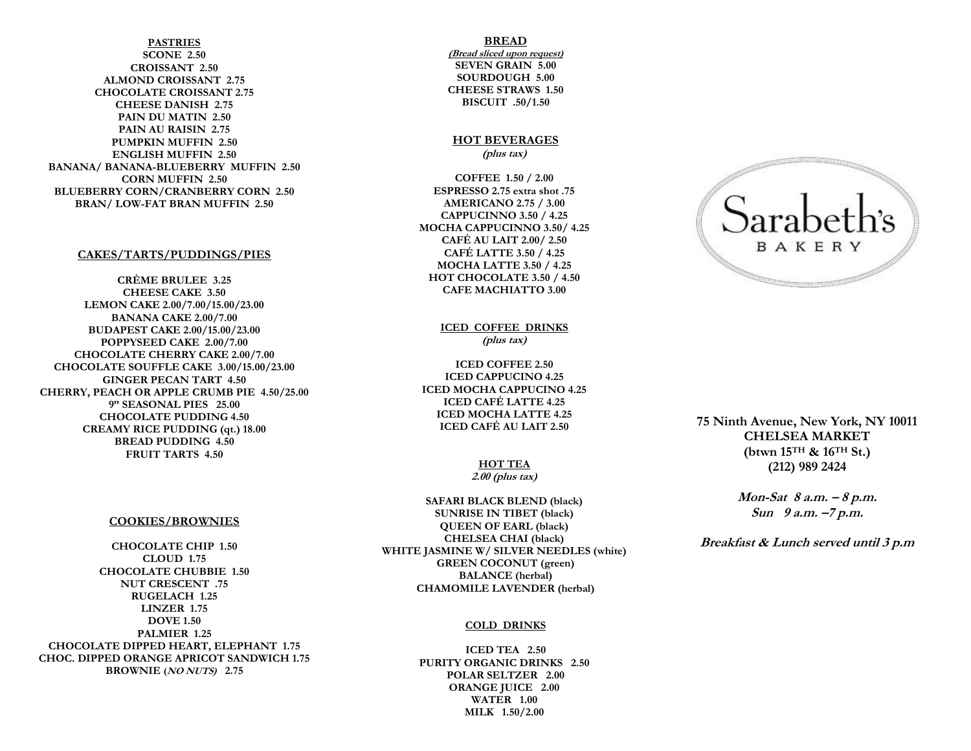**PASTRIES SCONE 2.50 CROISSANT 2.50 ALMOND CROISSANT 2.75 CHOCOLATE CROISSANT 2.75 CHEESE DANISH 2.75 PAIN DU MATIN 2.50 PAIN AU RAISIN 2.75 PUMPKIN MUFFIN 2.50 ENGLISH MUFFIN 2.50 BANANA/ BANANA-BLUEBERRY MUFFIN 2.50 CORN MUFFIN 2.50 BLUEBERRY CORN/CRANBERRY CORN 2.50 BRAN/ LOW-FAT BRAN MUFFIN 2.50**

#### **CAKES/TARTS/PUDDINGS/PIES**

**CRÈME BRULEE 3.25 CHEESE CAKE 3.50 LEMON CAKE 2.00/7.00/15.00/23.00 BANANA CAKE 2.00/7.00 BUDAPEST CAKE 2.00/15.00/23.00 POPPYSEED CAKE 2.00/7.00 CHOCOLATE CHERRY CAKE 2.00/7.00 CHOCOLATE SOUFFLE CAKE 3.00/15.00/23.00 GINGER PECAN TART 4.50 CHERRY, PEACH OR APPLE CRUMB PIE 4.50/25.00 9" SEASONAL PIES 25.00 CHOCOLATE PUDDING 4.50 CREAMY RICE PUDDING (qt.) 18.00 BREAD PUDDING 4.50 FRUIT TARTS 4.50**

#### **COOKIES/BROWNIES**

**CHOCOLATE CHIP 1.50 CLOUD 1.75 CHOCOLATE CHUBBIE 1.50 NUT CRESCENT .75 RUGELACH 1.25 LINZER 1.75 DOVE 1.50 PALMIER 1.25 CHOCOLATE DIPPED HEART, ELEPHANT 1.75 CHOC. DIPPED ORANGE APRICOT SANDWICH 1.75 BROWNIE (NO NUTS) 2.75**

#### **BREAD**

**(Bread sliced upon request) SEVEN GRAIN 5.00 SOURDOUGH 5.00 CHEESE STRAWS 1.50 BISCUIT .50/1.50**

### **HOT BEVERAGES (plus tax)**

**COFFEE 1.50 / 2.00 ESPRESSO 2.75 extra shot .75 AMERICANO 2.75 / 3.00 CAPPUCINNO 3.50 / 4.25 MOCHA CAPPUCINNO 3.50/ 4.25 CAFÉ AU LAIT 2.00/ 2.50 CAFÉ LATTE 3.50 / 4.25 MOCHA LATTE 3.50 / 4.25 HOT CHOCOLATE 3.50 / 4.50 CAFE MACHIATTO 3.00**

> **ICED COFFEE DRINKS (plus tax)**

**ICED COFFEE 2.50 ICED CAPPUCINO 4.25 ICED MOCHA CAPPUCINO 4.25 ICED CAFÉ LATTE 4.25 ICED MOCHA LATTE 4.25 ICED CAFÉ AU LAIT 2.50**

# **HOT TEA**

**2.00 (plus tax)**

**SAFARI BLACK BLEND (black) SUNRISE IN TIBET (black) QUEEN OF EARL (black) CHELSEA CHAI (black) WHITE JASMINE W/ SILVER NEEDLES (white) GREEN COCONUT (green) BALANCE (herbal) CHAMOMILE LAVENDER (herbal)**

#### **COLD DRINKS**

**ICED TEA 2.50 PURITY ORGANIC DRINKS 2.50 POLAR SELTZER 2.00 ORANGE JUICE 2.00 WATER 1.00 MILK 1.50/2.00**



**75 Ninth Avenue, New York, NY 10011 CHELSEA MARKET (btwn 15TH & 16TH St.) (212) 989 2424**

> **Mon-Sat 8 a.m. – 8 p.m. Sun 9 a.m. –7 p.m.**

**Breakfast & Lunch served until 3 p.m**